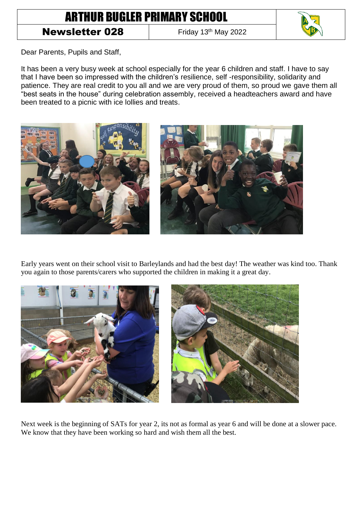## ARTHUR BUGLER PRIMARY SCHOOL

## **Newsletter 028** Friday 13th May 2022



Dear Parents, Pupils and Staff,

It has been a very busy week at school especially for the year 6 children and staff. I have to say that I have been so impressed with the children's resilience, self -responsibility, solidarity and patience. They are real credit to you all and we are very proud of them, so proud we gave them all "best seats in the house" during celebration assembly, received a headteachers award and have been treated to a picnic with ice lollies and treats.



Early years went on their school visit to Barleylands and had the best day! The weather was kind too. Thank you again to those parents/carers who supported the children in making it a great day.



Next week is the beginning of SATs for year 2, its not as formal as year 6 and will be done at a slower pace. We know that they have been working so hard and wish them all the best.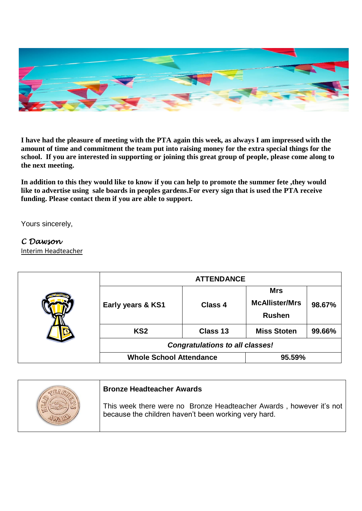

**I have had the pleasure of meeting with the PTA again this week, as always I am impressed with the amount of time and commitment the team put into raising money for the extra special things for the school. If you are interested in supporting or joining this great group of people, please come along to the next meeting.**

**In addition to this they would like to know if you can help to promote the summer fete ,they would like to advertise using sale boards in peoples gardens.For every sign that is used the PTA receive funding. Please contact them if you are able to support.**

Yours sincerely,

## *C Dawson*

Interim Headteacher

|  | <b>ATTENDANCE</b>                      |          |                                                      |        |  |
|--|----------------------------------------|----------|------------------------------------------------------|--------|--|
|  | Early years & KS1                      | Class 4  | <b>Mrs</b><br><b>McAllister/Mrs</b><br><b>Rushen</b> | 98.67% |  |
|  | KS <sub>2</sub>                        | Class 13 | <b>Miss Stoten</b>                                   | 99.66% |  |
|  | <b>Congratulations to all classes!</b> |          |                                                      |        |  |
|  | <b>Whole School Attendance</b>         |          | 95.59%                                               |        |  |

|  | <b>Bronze Headteacher Awards</b>                                                                                            |
|--|-----------------------------------------------------------------------------------------------------------------------------|
|  | This week there were no Bronze Headteacher Awards, however it's not<br>because the children haven't been working very hard. |